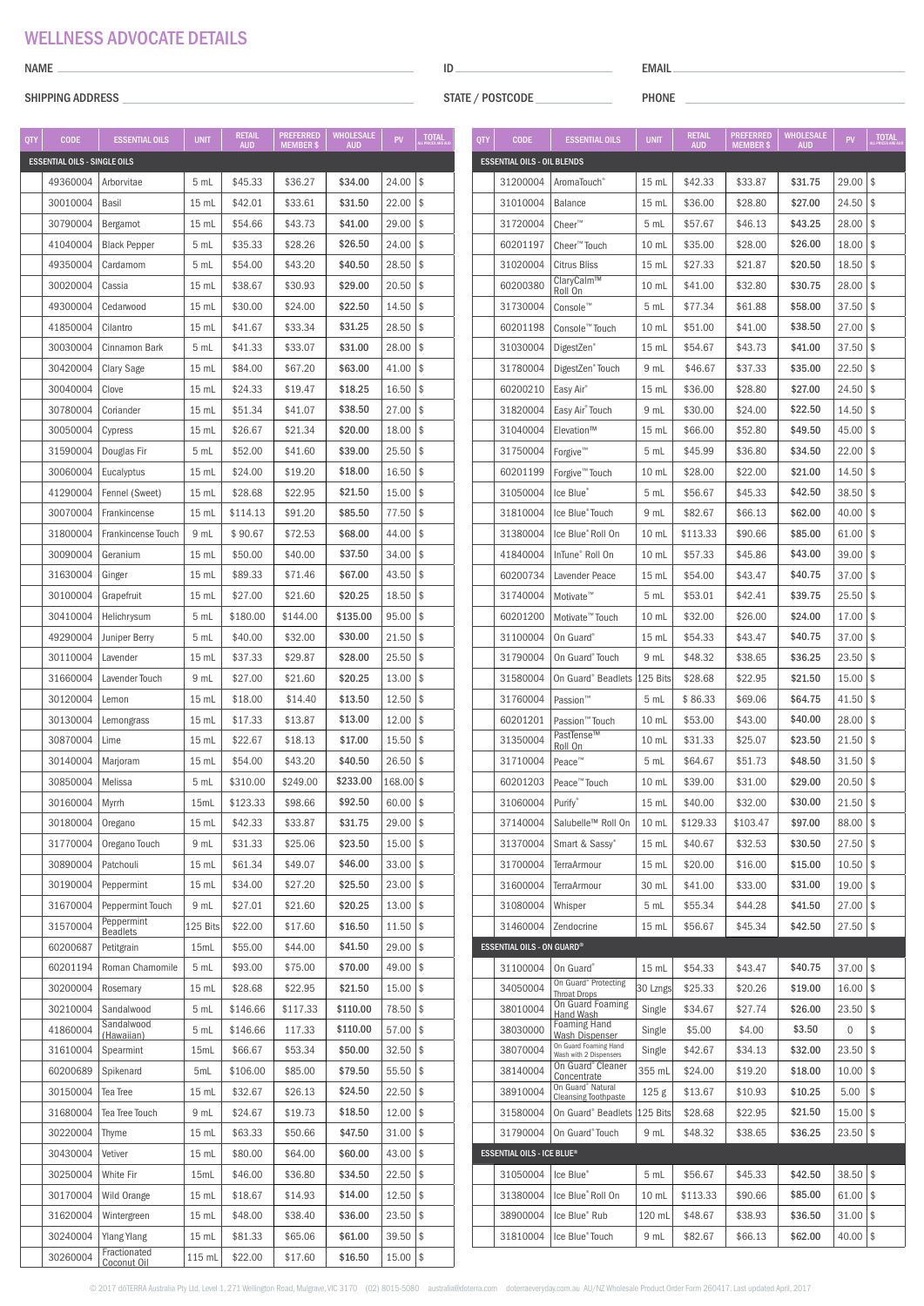## WELLNESS ADVOCATE DETAILS

#### NAME

### SHIPPING ADDRESS

ID

STATE / POSTCODE

EMAIL

PHONE

|     |                                                    | <b>ESSENTIAL OILS</b>              |                  | <b>RETAIL</b> | <b>PREFERRED</b> | <b>WHOLESALE</b> |              | <b>TOTAL</b> |     |                                                   |                                                         |                  | retail     | <b>PREFERRED</b> | <b>WHOLESALE</b> |                          | <b>TOTAL</b> |
|-----|----------------------------------------------------|------------------------------------|------------------|---------------|------------------|------------------|--------------|--------------|-----|---------------------------------------------------|---------------------------------------------------------|------------------|------------|------------------|------------------|--------------------------|--------------|
| QTY | <b>CODE</b><br><b>ESSENTIAL OILS - SINGLE OILS</b> |                                    | <b>UNIT</b>      | <b>AUD</b>    | MEMBER \$        | <b>AUD</b>       | PV           |              | QTY | <b>CODE</b><br><b>ESSENTIAL OILS - OIL BLENDS</b> | <b>ESSENTIAL OILS</b>                                   | <b>UNIT</b>      | <b>AUD</b> | MEMBER \$        | <b>AUD</b>       | PV                       |              |
|     | 49360004                                           | Arborvitae                         | 5 mL             | \$45.33       | \$36.27          | \$34.00          | 24.00        | \$           |     | 31200004                                          | AromaTouch <sup>®</sup>                                 | 15 mL            | \$42.33    | \$33.87          | \$31.75          | $29.00$ \$               |              |
|     | 30010004                                           | Basil                              | $15$ mL          | \$42.01       | \$33.61          | \$31.50          | $22.00$   \$ |              |     | 31010004                                          | <b>Balance</b>                                          | 15 mL            | \$36.00    | \$28.80          | \$27.00          | $24.50$   \$             |              |
|     | 30790004                                           | Bergamot                           | $15$ mL          | \$54.66       | \$43.73          | \$41.00          | 29.00        | \$           |     | 31720004                                          | Cheer <sup>™</sup>                                      | 5 mL             | \$57.67    | \$46.13          | \$43.25          | $28.00$ \$               |              |
|     | 41040004                                           |                                    | 5 mL             | \$35.33       | \$28.26          | \$26.50          | $24.00$ \\$  |              |     | 60201197                                          |                                                         | 10 mL            | \$35.00    | \$28.00          | \$26.00          | $18.00$ \$               |              |
|     |                                                    | <b>Black Pepper</b>                |                  |               |                  | \$40.50          |              |              |     |                                                   | Cheer <sup>™</sup> Touch                                |                  |            |                  | \$20.50          |                          |              |
|     | 49350004                                           | Cardamom                           | 5 mL             | \$54.00       | \$43.20          |                  | $28.50$ \\$  |              |     | 31020004                                          | <b>Citrus Bliss</b><br>ClaryCalm™                       | 15 mL            | \$27.33    | \$21.87          |                  | $18.50$ \$<br>$28.00$ \$ |              |
|     | 30020004                                           | Cassia                             | 15 mL            | \$38.67       | \$30.93          | \$29.00          | 20.50        | \$           |     | 60200380                                          | Roll On                                                 | 10 <sub>mL</sub> | \$41.00    | \$32.80          | \$30.75          |                          |              |
|     | 49300004                                           | Cedarwood                          | 15 mL            | \$30.00       | \$24.00          | \$22.50          | $14.50$ \\$  |              |     | 31730004                                          | Console™                                                | 5 mL             | \$77.34    | \$61.88          | \$58.00          | $37.50$ \$               |              |
|     | 41850004                                           | Cilantro                           | $15$ mL          | \$41.67       | \$33.34          | \$31.25          | 28.50        | \$           |     | 60201198                                          | Console <sup>™</sup> Touch                              | 10 mL            | \$51.00    | \$41.00          | \$38.50          | $27.00$ \$               |              |
|     | 30030004                                           | Cinnamon Bark                      | 5 mL             | \$41.33       | \$33.07          | \$31.00          | $28.00$ \$   |              |     | 31030004                                          | DigestZen <sup>®</sup>                                  | $15$ mL          | \$54.67    | \$43.73          | \$41.00          | $37.50$   \$             |              |
|     | 30420004                                           | <b>Clary Sage</b>                  | $15$ mL          | \$84.00       | \$67.20          | \$63.00          | $41.00$   \$ |              |     | 31780004                                          | DigestZen <sup>®</sup> Touch                            | 9 mL             | \$46.67    | \$37.33          | \$35.00          | $22.50$ \$               |              |
|     | 30040004                                           | Clove                              | $15$ mL          | \$24.33       | \$19.47          | \$18.25          | $16.50$   \$ |              |     | 60200210                                          | Easy Air®                                               | 15 mL            | \$36.00    | \$28.80          | \$27.00          | $24.50$ \\$              |              |
|     | 30780004                                           | Coriander                          | $15$ mL          | \$51.34       | \$41.07          | \$38.50          | $27.00$   \$ |              |     | 31820004                                          | Easy Air" Touch                                         | 9 mL             | \$30.00    | \$24.00          | \$22.50          | $14.50$   \$             |              |
|     | 30050004                                           | Cypress                            | $15$ mL          | \$26.67       | \$21.34          | \$20.00          | $18.00$   \$ |              |     | 31040004                                          | Elevation™                                              | 15 mL            | \$66.00    | \$52.80          | \$49.50          | $45.00$ \$               |              |
|     | 31590004                                           | Douglas Fir                        | 5 mL             | \$52.00       | \$41.60          | \$39.00          | $25.50$ \\$  |              |     | 31750004                                          | Forgive <sup>™</sup>                                    | 5 mL             | \$45.99    | \$36.80          | \$34.50          | $22.00$ \$               |              |
|     | 30060004                                           | Eucalyptus                         | 15 mL            | \$24.00       | \$19.20          | \$18.00          | 16.50        | \$           |     | 60201199                                          | Forgive™ Touch                                          | 10 <sub>mL</sub> | \$28.00    | \$22.00          | \$21.00          | $14.50$   \$             |              |
|     | 41290004                                           | Fennel (Sweet)                     | $15$ mL          | \$28.68       | \$22.95          | \$21.50          | $15.00$   \$ |              |     | 31050004                                          | Ice Blue                                                | 5 mL             | \$56.67    | \$45.33          | \$42.50          | $38.50$ \$               |              |
|     | 30070004                                           | Frankincense                       | $15$ mL          | \$114.13      | \$91.20          | \$85.50          | 77.50        | \$           |     | 31810004                                          | Ice Blue® Touch                                         | 9 mL             | \$82.67    | \$66.13          | \$62.00          | $40.00$ \\$              |              |
|     | 31800004                                           | Frankincense Touch                 | 9 mL             | \$90.67       | \$72.53          | \$68.00          | $44.00$   \$ |              |     | 31380004                                          | Ice Blue® Roll On                                       | 10 mL            | \$113.33   | \$90.66          | \$85.00          | $61.00$ \$               |              |
|     | 30090004                                           | Geranium                           | $15$ mL          | \$50.00       | \$40.00          | \$37.50          | $34.00$ \\$  |              |     | 41840004                                          | InTune <sup>®</sup> Roll On                             | 10 mL            | \$57.33    | \$45.86          | \$43.00          | $39.00$   \$             |              |
|     | 31630004                                           | Ginger                             | $15$ mL          | \$89.33       | \$71.46          | \$67.00          | $43.50$   \$ |              |     | 60200734                                          | Lavender Peace                                          | 15 mL            | \$54.00    | \$43.47          | \$40.75          | $37.00$   \$             |              |
|     | 30100004                                           | Grapefruit                         | $15$ mL          | \$27.00       | \$21.60          | \$20.25          | $18.50$   \$ |              |     | 31740004                                          | Motivate <sup>™</sup>                                   | 5 mL             | \$53.01    | \$42.41          | \$39.75          | $25.50$ \$               |              |
|     | 30410004                                           | Helichrysum                        | 5 mL             | \$180.00      | \$144.00         | \$135.00         | $95.00$   \$ |              |     | 60201200                                          | Motivate <sup>™</sup> Touch                             | 10 mL            | \$32.00    | \$26.00          | \$24.00          | $17.00$ \$               |              |
|     | 49290004                                           | <b>Juniper Berry</b>               | 5 mL             | \$40.00       | \$32.00          | \$30.00          | $21.50$ \\$  |              |     | 31100004                                          | On Guard <sup>®</sup>                                   | $15$ mL          | \$54.33    | \$43.47          | \$40.75          | $37.00$ \$               |              |
|     | 30110004                                           | Lavender                           | 15 mL            | \$37.33       | \$29.87          | \$28.00          | $25.50$   \$ |              |     | 31790004                                          | On Guard®Touch                                          | 9 mL             | \$48.32    | \$38.65          | \$36.25          | $23.50$   \$             |              |
|     | 31660004                                           | Lavender Touch                     | 9 mL             | \$27.00       | \$21.60          | \$20.25          | $13.00$   \$ |              |     | 31580004                                          | On Guard <sup>®</sup> Beadlets                          | 125 Bits         | \$28.68    | \$22.95          | \$21.50          | $15.00$   \$             |              |
|     | 30120004                                           | Lemon                              | 15 <sub>ml</sub> | \$18.00       | \$14.40          | \$13.50          | 12.50        | \$           |     | 31760004                                          | Passion™                                                | 5 mL             | \$86.33    | \$69.06          | \$64.75          | $41.50$ \$               |              |
|     | 30130004                                           | Lemongrass                         | 15 <sub>ml</sub> | \$17.33       | \$13.87          | \$13.00          | $12.00$   \$ |              |     | 60201201                                          | Passion™ Touch                                          | 10 mL            | \$53.00    | \$43.00          | \$40.00          | $28.00$ \$               |              |
|     | 30870004                                           | Lime                               | $15$ mL          | \$22.67       | \$18.13          | \$17.00          | $15.50$   \$ |              |     | 31350004                                          | PastTense™<br>Roll On                                   | 10 mL            | \$31.33    | \$25.07          | \$23.50          | $21.50$ \$               |              |
|     | 30140004                                           | Marjoram                           | 15 <sub>mL</sub> | \$54.00       | \$43.20          | \$40.50          | $26.50$   \$ |              |     | 31710004                                          | Peace"                                                  | 5 mL             | \$64.67    | \$51.73          | \$48.50          | $31.50$ \$               |              |
|     | 30850004                                           | Melissa                            | 5 <sub>mL</sub>  | \$310.00      | \$249.00         | \$233.00         | 168.00 \$    |              |     | 60201203                                          | Peace™ Touch                                            | 10 mL            | \$39.00    | \$31.00          | \$29.00          | $20.50$ \$               |              |
|     | 30160004                                           | Myrrh                              | 15mL             | \$123.33      | \$98.66          | \$92.50          | $60.00$   \$ |              |     | 31060004                                          | Purify                                                  | 15 mL            | \$40.00    | \$32.00          | \$30.00          | $21.50$ \$               |              |
|     | 30180004                                           | Oregano                            | 15 mL            | \$42.33       | \$33.87          | \$31.75          | $29.00$ \$   |              |     | 37140004                                          | Salubelle™ Roll On                                      | $10$ mL          | \$129.33   | \$103.47         | \$97.00          | $88.00$ \$               |              |
|     | 31770004                                           | Oregano Touch                      | 9 mL             | \$31.33       | \$25.06          | \$23.50          | $15.00$ \\$  |              |     | 31370004                                          | Smart & Sassy®                                          | $15$ mL          | \$40.67    | \$32.53          | \$30.50          | $27.50$ \$               |              |
|     | 30890004                                           | Patchouli                          | 15 mL            | \$61.34       | \$49.07          | \$46.00          | $33.00$   \$ |              |     | 31700004                                          | TerraArmour                                             | 15 mL            | \$20.00    | \$16.00          | \$15.00          | $10.50$ \$               |              |
|     | 30190004                                           | Peppermint                         | $15 \text{ mL}$  | \$34.00       | \$27.20          | \$25.50          | $23.00$ \\$  |              |     | 31600004                                          | <b>TerraArmour</b>                                      | 30 mL            | \$41.00    | \$33.00          | \$31.00          | $19.00$ \$               |              |
|     | 31670004                                           | Peppermint Touch                   | 9 mL             | \$27.01       | \$21.60          | \$20.25          | $13.00$ \$   |              |     | 31080004                                          | Whisper                                                 | 5 mL             | \$55.34    | \$44.28          | \$41.50          | $27.00$ \$               |              |
|     | 31570004                                           | Peppermint<br><b>Beadlets</b>      | 125 Bits         | \$22.00       | \$17.60          | \$16.50          | $11.50$ \\$  |              |     | 31460004                                          | Zendocrine                                              | 15 mL            | \$56.67    | \$45.34          | \$42.50          | $27.50$ \$               |              |
|     | 60200687                                           | Petitgrain                         | 15mL             | \$55.00       | \$44.00          | \$41.50          | $29.00$ \\$  |              |     | <b>ESSENTIAL OILS - ON GUARD®</b>                 |                                                         |                  |            |                  |                  |                          |              |
|     | 60201194                                           | Roman Chamomile                    | 5 mL             | \$93.00       | \$75.00          | \$70.00          | $49.00$ \\$  |              |     | 31100004                                          | On Guard®                                               | 15 mL            | \$54.33    | \$43.47          | \$40.75          | $37.00$ \$               |              |
|     | 30200004                                           | Rosemary                           | 15 mL            | \$28.68       | \$22.95          | \$21.50          | $15.00$ \\$  |              |     | 34050004                                          | On Guard <sup>®</sup> Protecting                        | 30 Lzngs         | \$25.33    | \$20.26          | \$19.00          | $16.00$ \$               |              |
|     | 30210004                                           | Sandalwood                         | 5 mL             | \$146.66      | \$117.33         | \$110.00         | $78.50$ \$   |              |     | 38010004                                          | <b>Throat Drops</b><br>On Guard Foaming                 | Single           | \$34.67    | \$27.74          | \$26.00          | $23.50$ \$               |              |
|     | 41860004                                           | Sandalwood                         | 5 mL             | \$146.66      | 117.33           | \$110.00         | $57.00$ \\$  |              |     | 38030000                                          | Hand Wash<br><b>Foaming Hand</b>                        | Single           | \$5.00     | \$4.00           | \$3.50           | $\mathbf 0$              | \$           |
|     | 31610004                                           | (Hawaiian)<br>Spearmint            | 15mL             | \$66.67       | \$53.34          | \$50.00          | $32.50$ \\$  |              |     | 38070004                                          | Wash Dispenser<br>On Guard Foaming Hand                 | Single           | \$42.67    | \$34.13          | \$32.00          | $23.50$ \$               |              |
|     | 60200689                                           | Spikenard                          | 5mL              | \$106.00      | \$85.00          | \$79.50          | $55.50$ \$   |              |     | 38140004                                          | Wash with 2 Dispensers<br>On Guard <sup>®</sup> Cleaner | 355 ml           | \$24.00    | \$19.20          | \$18.00          | $10.00$ \$               |              |
|     | 30150004                                           | Tea Tree                           | 15 mL            | \$32.67       | \$26.13          | \$24.50          | $22.50$ \$   |              |     | 38910004                                          | Concentrate<br>On Guard <sup>®</sup> Natural            | 125 <sub>g</sub> | \$13.67    | \$10.93          | \$10.25          | 5.00                     | $\vert$ \$   |
|     | 31680004                                           | Tea Tree Touch                     | 9 mL             | \$24.67       | \$19.73          | \$18.50          | $12.00$ \$   |              |     | 31580004                                          | Cleansing Toothpaste<br>On Guard <sup>®</sup> Beadlets  | 125 Bits         | \$28.68    | \$22.95          | \$21.50          | $15.00$ \$               |              |
|     |                                                    |                                    |                  | \$63.33       |                  |                  | $31.00$ \\$  |              |     |                                                   | On Guard® Touch                                         |                  | \$48.32    |                  |                  | $23.50$ \$               |              |
|     | 30220004                                           | Thyme                              | 15 mL            |               | \$50.66          | \$47.50          |              |              |     | 31790004                                          |                                                         | 9 mL             |            | \$38.65          | \$36.25          |                          |              |
|     | 30430004                                           | Vetiver                            | 15 mL            | \$80.00       | \$64.00          | \$60.00          | $43.00$ \\$  |              |     | <b>ESSENTIAL OILS - ICE BLUE®</b>                 |                                                         |                  |            |                  |                  |                          |              |
|     | 30250004                                           | White Fir                          | 15mL             | \$46.00       | \$36.80          | \$34.50          | $22.50$ \$   |              |     | 31050004                                          | Ice Blue®                                               | 5 mL             | \$56.67    | \$45.33          | \$42.50          | $38.50$ \$               |              |
|     | 30170004                                           | Wild Orange                        | $15$ mL          | \$18.67       | \$14.93          | \$14.00          | $12.50$ \$   |              |     | 31380004                                          | Ice Blue® Roll On                                       | 10 mL            | \$113.33   | \$90.66          | \$85.00          | $61.00$ \$               |              |
|     | 31620004                                           | Wintergreen                        | 15 mL            | \$48.00       | \$38.40          | \$36.00          | $23.50$ \\$  |              |     | 38900004                                          | Ice Blue® Rub                                           | 120 mL           | \$48.67    | \$38.93          | \$36.50          | $31.00$ \$               |              |
|     | 30240004                                           | <b>Ylang Ylang</b><br>Fractionated | 15 mL            | \$81.33       | \$65.06          | \$61.00          | $39.50$ \\$  |              |     | 31810004                                          | Ice Blue® Touch                                         | 9 mL             | \$82.67    | \$66.13          | \$62.00          | $40.00$ \\$              |              |
|     | 30260004                                           | Coconut Oil                        | 115 mL           | \$22.00       | \$17.60          | \$16.50          | $15.00$   \$ |              |     |                                                   |                                                         |                  |            |                  |                  |                          |              |

© 2017 döTERRA Australia Pty Ltd. Level 1, 271 Wellington Road, Mulgrave, VIC 3170 (02) 8015-5080 australia@doterra.com doterraeveryday.com.au AU/NZ Wholesale Product Order Form 260417. Last updated April, 2017